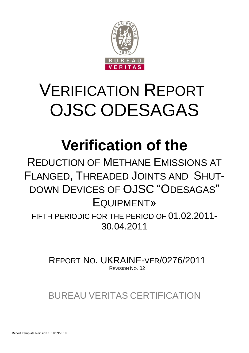

# VERIFICATION REPORT OJSC ODESAGAS

# **Verification of the**

REDUCTION OF METHANE EMISSIONS AT FLANGED, THREADED JOINTS AND SHUT-DOWN DEVICES OF OJSC "ODESAGAS" EQUIPMENT»

FIFTH PERIODIC FOR THE PERIOD OF 01.02.2011- 30.04.2011

REPORT NO. UKRAINE-VER/0276/2011 REVISION NO. 02

BUREAU VERITAS CERTIFICATION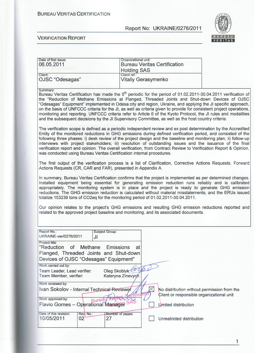#### **BUREAU VERITAS CERTIFICATION**

#### Report No: UKRAINE/0276/2011



#### **VERIFICATION REPORT**

| Date of first issue: | Organizational unit:                |
|----------------------|-------------------------------------|
| 06.05.2011           | <b>Bureau Veritas Certification</b> |
|                      | <b>Holding SAS</b>                  |
| Client:              | Client ref.:                        |
| OJSC "Odesagas"      | Vitaliy Gerasymenko                 |
|                      |                                     |

Summary:

Bureau Veritas Certification has made the 5<sup>th</sup> periodic for the period of 01.02.2011-30.04.2011 verification of the "Reduction of Methane Emissions at Flanged, Threaded Joints and Shut-down Devices of OJSC "Odesagas" Equipment" implemented in Odesa city and region, Ukraine, and applying the JI specific approach, on the basis of UNFCCC criteria for the JI, as well as criteria given to provide for consistent project operations, monitoring and reporting. UNFCCC criteria refer to Article 6 of the Kyoto Protocol, the JI rules and modalities and the subsequent decisions by the JI Supervisory Committee, as well as the host country criteria.

The verification scope is defined as a periodic independent review and ex post determination by the Accredited Entity of the monitored reductions in GHG emissions during defined verification period, and consisted of the following three phases: i) desk review of the project design and the baseline and monitoring plan; ii) follow-up interviews with project stakeholders; iii) resolution of outstanding issues and the issuance of the final verification report and opinion. The overall verification, from Contract Review to Verification Report & Opinion, was conducted using Bureau Veritas Certification internal procedures.

The first output of the verification process is a list of Clarification, Corrective Actions Requests, Forward Actions Requests (CR, CAR and FAR), presented in Appendix A.

In summary, Bureau Veritas Certification confirms that the project is implemented as per determined changes. Installed equipment being essential for generating emission reduction runs reliably and is calibrated appropriately. The monitoring system is in place and the project is ready to generate GHG emission reductions. The GHG emission reduction is calculated without material misstatements, and the ERUs issued totalize 153239 tons of CO2eq for the monitoring period of 01.02.2011-30.04.2011.

Our opinion relates to the project's GHG emissions and resulting GHG emission reductions reported and related to the approved project baseline and monitoring, and its associated documents.

| Report No.:<br>UKRAINE-ver/0276/2011                                                                                                 | <b>Subject Group:</b><br>JI           |                                                                                          |
|--------------------------------------------------------------------------------------------------------------------------------------|---------------------------------------|------------------------------------------------------------------------------------------|
| Project title:<br>"Reduction of Methane Emissions<br>Flanged, Threaded Joints and Shut-down<br>Devices of OJSC "Odesagas" Equipment" | at                                    |                                                                                          |
| Work carried out by:<br>Team Leader, Lead verifier:<br>Team Member, verifier:<br>Work reviewed by:                                   | Oleg Skoblyk the<br>Kateryna Zinevych |                                                                                          |
| Ivan Sokolov - Internal Technical Reviewer<br>Work approved by:                                                                      |                                       | No distribution without permission from the<br>Client or responsible organizational unit |
| <b>Flavio Gomes - Operational Manager SAS</b>                                                                                        |                                       | Limited distribution                                                                     |
| Date of this revision:<br>Rev. No.:<br>10/05/2011<br>02                                                                              | <b>Number of pages:</b><br>27         | Unrestricted distribution                                                                |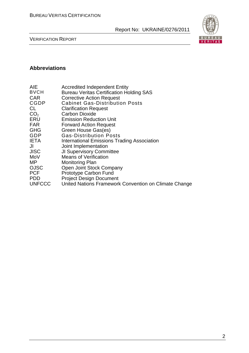

VERIFICATION REPORT

# **Abbreviations**

| AIE             | <b>Accredited Independent Entity</b>                  |
|-----------------|-------------------------------------------------------|
| <b>BVCH</b>     | <b>Bureau Veritas Certification Holding SAS</b>       |
| <b>CAR</b>      | <b>Corrective Action Request</b>                      |
| CGDP            | <b>Cabinet Gas-Distribution Posts</b>                 |
| CL              | <b>Clarification Request</b>                          |
| CO <sub>2</sub> | <b>Carbon Dioxide</b>                                 |
| ERU             | <b>Emission Reduction Unit</b>                        |
| <b>FAR</b>      | <b>Forward Action Request</b>                         |
| <b>GHG</b>      | Green House Gas(es)                                   |
| GDP             | <b>Gas-Distribution Posts</b>                         |
| <b>IETA</b>     | <b>International Emissions Trading Association</b>    |
| JI              | Joint Implementation                                  |
| JISC            | <b>JI Supervisory Committee</b>                       |
| MoV             | <b>Means of Verification</b>                          |
| MP.             | <b>Monitoring Plan</b>                                |
| <b>OJSC</b>     | Open Joint Stock Company                              |
| <b>PCF</b>      | Prototype Carbon Fund                                 |
| <b>PDD</b>      | <b>Project Design Document</b>                        |
| <b>UNFCCC</b>   | United Nations Framework Convention on Climate Change |
|                 |                                                       |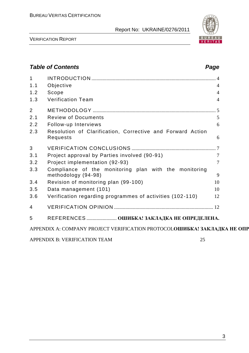

VERIFICATION REPORT

# *Table of Contents Page* 1 INTRODUCTION ................................................................................................... 4 1.1 Objective 4 1.2 Scope 4 1.3 Verification Team 4 2 METHODOLOGY .................................................................................................. 5 2.1 Review of Documents 5 2.2 Follow-up Interviews 6 2.3 Resolution of Clarification, Corrective and Forward Action Requests 6 3 VERIFICATION CONCLUSIONS ................................................................... 7 3.1 Project approval by Parties involved (90-91) 7 3.2 Project implementation (92-93) 7 3.3 Compliance of the monitoring plan with the monitoring methodology (94-98) 9 3.4 Revision of monitoring plan (99-100) 10 3.5 Data management (101) 10 3.6 Verification regarding programmes of activities (102 -110) 12 4 VERIFICATION OPINION ............................................................................... 12 5 REFERENCES ........................ **ОШИБКА! ЗАКЛАДКА НЕ ОПРЕДЕЛЕНА.** APPENDIX A: COMPANY PROJECT VERIFICATION PROTOCOLOШИБКА! ЗАКЛАДКА НЕ ОПР APPENDIX B: VERIFICATION TEAM 25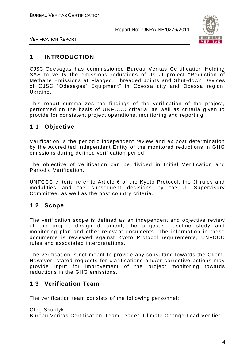

VERIFICATION REPORT

# **1 INTRODUCTION**

OJSC Odesagas has commissioned Bureau Veritas Certification Holding SAS to verify the emissions reductions of its JI project " Reduction of Methane Emissions at Flanged, Threaded Joints and Shut-down Devices of OJSC "Odesagas" Equipment" in Odessa city and Odessa region, Ukraine.

This report summarizes the findings of the verification of the project, performed on the basis of UNFCCC criteria, as well as criteria given to provide for consistent project operations, monitoring and reporting.

# **1.1 Objective**

Verification is the periodic independent review and ex post determination by the Accredited Independent Entity of the monitored reductions in GHG emissions during defined verification period.

The objective of verification can be divided in Initial Verification and Periodic Verification.

UNFCCC criteria refer to Article 6 of the Kyoto Protocol, the JI rules and modalities and the subsequent decisions by the JI Supervisory Committee, as well as the host country criteria.

## **1.2 Scope**

The verification scope is defined as an independent and objective review of the project design document, the project's baseline study and monitoring plan and other relevant documents. The information in these documents is reviewed against Kyoto Protocol requirements, UNFCCC rules and associated interpretations.

The verification is not meant to provide any consulting towards the Client. However, stated requests for clarifications and/or corrective actions may provide input for improvement of the project monitoring towards reductions in the GHG emissions.

# **1.3 Verification Team**

The verification team consists of the following personnel:

Oleg Skoblyk Bureau Veritas Certification Team Leader, Climate Change Lead Verifier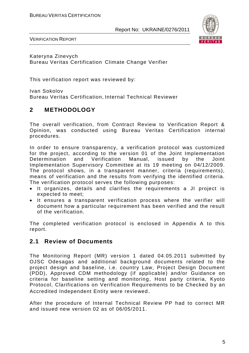

VERIFICATION REPORT

Kateryna Zinevych Bureau Veritas Certification Climate Change Verifier

This verification report was reviewed by:

Ivan Sokolov Bureau Veritas Certification, Internal Technical Reviewer

# **2 METHODOLOGY**

The overall verification, from Contract Review to Verification Report & Opinion, was conducted using Bureau Veritas Certification internal procedures.

In order to ensure transparency, a verification protocol was customized for the project, according to the version 01 of the Joint Implementation Determination and Verification Manual, issued by the Joint Implementation Supervisory Committee at its 19 meeting on 04/12/2009. The protocol shows, in a transparent manner, criteria (requirements), means of verification and the results from verifying the identified criteria. The verification protocol serves the following purposes:

- It organizes, details and clarifies the requirements a JI project is expected to meet;
- It ensures a transparent verification process where the verifier will document how a particular requirement has been verified and the result of the verification.

The completed verification protocol is enclosed in Appendix A to this report.

## **2.1 Review of Documents**

The Monitoring Report (MR) version 1 dated 04.05.2011 submitted by OJSC Odesagas and additional background documents related to the project design and baseline, i.e. country Law, Project Design Document (PDD), Approved CDM methodology (if applicable) and/or Guidance on criteria for baseline setting and monitoring, Host party criteria, Kyoto Protocol, Clarifications on Verification Requirements to be Checked by an Accredited Independent Entity were reviewed.

After the procedure of Internal Technical Review PP had to correct MR and issued new version 02 as of 06/05/2011.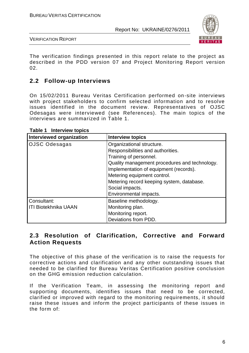

VERIFICATION REPORT

The verification findings presented in this report relate to the project as described in the PDD version 07 and Project Monitoring Report version 02.

## **2.2 Follow-up Interviews**

On 15/02/2011 Bureau Veritas Certification performed on-site interviews with project stakeholders to confirm selected information and to resolve issues identified in the document review. Representatives of OJSC Odesagas were interviewed (see References). The main topics of the interviews are summarized in Table 1.

| <b>Interviewed organization</b> | <b>Interview topics</b>                       |
|---------------------------------|-----------------------------------------------|
| <b>OJSC Odesagas</b>            | Organizational structure.                     |
|                                 | Responsibilities and authorities.             |
|                                 | Training of personnel.                        |
|                                 | Quality management procedures and technology. |
|                                 | Implementation of equipment (records).        |
|                                 | Metering equipment control.                   |
|                                 | Metering record keeping system, database.     |
|                                 | Social impacts.                               |
|                                 | Environmental impacts.                        |
| Consultant:                     | Baseline methodology.                         |
| <b>ITI Biotekhnika UAAN</b>     | Monitoring plan.                              |
|                                 | Monitoring report.                            |
|                                 | Deviations from PDD.                          |

**Table 1 Interview topics**

## **2.3 Resolution of Clarification, Corrective and Forward Action Requests**

The objective of this phase of the verification is to raise the requests for corrective actions and clarification and any other outstanding issues that needed to be clarified for Bureau Veritas Certification positive conclusion on the GHG emission reduction calculation.

If the Verification Team, in assessing the monitoring report and supporting documents, identifies issues that need to be corrected, clarified or improved with regard to the monitoring requirements, it should raise these issues and inform the project participants of these issues in the form of: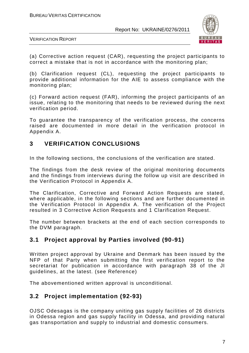

VERIFICATION REPORT

(a) Corrective action request (CAR), requesting the project participants to correct a mistake that is not in accordance with the monitoring plan;

(b) Clarification request (CL), requesting the project participants to provide additional information for the AIE to assess compliance with the monitoring plan;

(c) Forward action request (FAR), informing the project participants of an issue, relating to the monitoring that needs to be reviewed during the next verification period.

To guarantee the transparency of the verification process, the concerns raised are documented in more detail in the verification protocol in Appendix A.

# **3 VERIFICATION CONCLUSIONS**

In the following sections, the conclusions of the verification are stated.

The findings from the desk review of the original monitoring documents and the findings from interviews during the follow up visit are described in the Verification Protocol in Appendix A.

The Clarification, Corrective and Forward Action Requests are stated, where applicable, in the following sections and are further documented in the Verification Protocol in Appendix A. The verification of the Project resulted in 3 Corrective Action Requests and 1 Clarification Request.

The number between brackets at the end of each section corresponds to the DVM paragraph.

# **3.1 Project approval by Parties involved (90-91)**

Written project approval by Ukraine and Denmark has been issued by the NFP of that Party when submitting the first verification report to the secretariat for publication in accordance with paragraph 38 of the JI guidelines, at the latest. (see Reference)

The abovementioned written approval is unconditional.

# **3.2 Project implementation (92-93)**

OJSC Odesagas is the company uniting gas supply facilities of 26 districts in Odessa region and gas supply facility in Odessa, and providing natural gas transportation and supply to industrial and domestic consumers.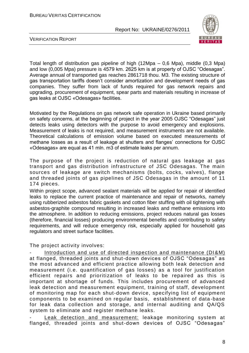

VERIFICATION REPORT

Total length of distribution gas pipeline of high (12Mpa – 0,6 Mpa), middle (0,3 Mpa) and low (0,005 Mpa) pressure is 4579 km. 2625 km is at property of OJSC "Odesagas". Average annual of transported gas reaches 2861718 thou. M3. The existing structure of gas transportation tariffs doesn"t consider amortization and development needs of gas companies. They suffer from lack of funds required for gas network repairs and upgrading, procurement of equipment, spear parts and materials resulting in increase of gas leaks at OJSC «Odesagas» facilities.

Motivated by the Regulations on gas network safe operation in Ukraine based primarily on safety concerns, at the beginning of project in the year 2005 OJSC "Odesagas" just detects leaks using detectors with the purpose to avoid emergency and explosions. Measurement of leaks is not required, and measurement instruments are not available. Theoretical calculations of emission volume based on executed measurements of methane losses as a result of leakage at shutters and flanges' connections for OJSC «Odesagas» are equal as 41 mln. m3 of estimate leaks per annum.

The purpose of the project is reduction of natural gas leakage at gas transport and gas distribution infrastructure of JSC Odesagas. The main sources of leakage are switch mechanisms (bolts, cocks, valves), flange and threaded joints of gas pipelines of JSC Odesagas in the amount of 11 174 pieces.

Within project scope, advanced sealant materials will be applied for repair of identified leaks to replace the current practice of maintenance and repair of networks, namely using rubberized asbestos fabric gaskets and cotton fiber stuffing with oil tightening with asbestos-graphite compound resulting in increased leaks and methane emissions into the atmosphere. In addition to reducing emissions, project reduces natural gas losses (therefore, financial losses) producing environmental benefits and contributing to safety requirements, and will reduce emergency risk, especially applied for household gas regulators and street surface facilities.

The project activity involves:

Introduction and use of directed inspection and maintenance (DI&M) at flanged, threaded joints and shut-down devices of OJSC "Odesagas" as the most advanced and efficient practice allowing both leak detection and measurement (i.e. quantification of gas losses) as a tool for justification efficient repairs and prioritization of leaks to be repaired as this is important at shortage of funds. This includes procurement of advanced leak detection and measurement equipment, training of staff, development of monitoring map for each shut-down device, specifying list of equipment components to be examined on regular basis, establishment of data -base for leak data collection and storage, and internal auditing and QA/QS system to eliminate and register methane leaks.

Leak detection and measurement: leakage monitoring system at flanged, threaded joints and shut-down devices of OJSC "Odesagas"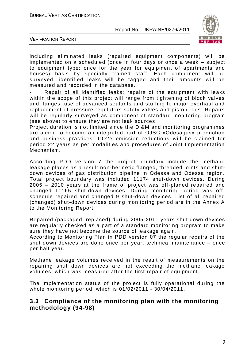

VERIFICATION REPORT

including eliminated leaks (repaired equipment components) will be implemented on a scheduled (once in four days or once a week – subject to equipment type; once for the year for equipment of apartments and houses) basis by specially trained staff. Each component will be surveyed, identified leaks will be tagged and their amounts will be measured and recorded in the database.

Repair of all identified leaks: repairs of the equipment with leaks within the scope of this project will range from tightening of block valves and flanges, use of advanced sealants and stuffing to major overhaul and replacement of pressure regulators safety valves and piston rods. Repairs will be regularly surveyed as component of standard monitoring program (see above) to ensure they are not leak sources.

Project duration is not limited since the DI&M and monitoring programmes are aimed to become an integrated part of OJSC «Odesagas» production and business practices. CO2e emission reductions will be claimed for period 22 years as per modalities and procedures of Joint Implementation Mechanism.

According PDD version 7 the project boundary include the methane leakage places as a result non-hermetic flanged, threaded joints and shutdown devices of gas distribution pipeline in Odessa and Odessa region. Total project boundary was included 11174 shut-down devices. During 2005 – 2010 years at the frame of project was off-planed repaired and changed 11165 shut-down devices. During monitoring period was offschedule repaired and changed 9 shut-down devices. List of all repaired (changed) shut-down devices during monitoring period are in the Annex A to the Monitoring Report.

Repaired (packaged, replaced) during 2005-2011 years shut down devices are regularly checked as a part of a standard monitoring program to make sure they have not become the source of leakage again.

According to Monitoring Plan in PDD version 07 the regular repairs оf the shut down devices are done once per year, technical maintenance – once per half year.

Methane leakage volumes received in the result of measurements on the repairing shut down devices are not exceeding the methane leakage volumes, which was measured after the first repair of equipment.

The implementation status of the project is fully operational during the whole monitoring period, which is 01/02/2011 - 30/04/2011.

#### **3.3 Compliance of the monitoring plan with the monitoring methodology (94-98)**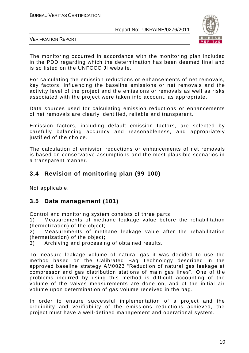

VERIFICATION REPORT

The monitoring occurred in accordance with the monitoring plan included in the PDD regarding which the determination has been deemed final and is so listed on the UNFCCC JI website.

For calculating the emission reductions or enhancements of net removals, key factors, influencing the baseline emissions or net removals and the activity level of the project and the emissions or removals as well as risks associated with the project were taken into account, as appropriate.

Data sources used for calculating emission reductions or enhancements of net removals are clearly identified, reliable and transparent.

Emission factors, including default emission factors, are selected by carefully balancing accuracy and reasonableness, and appropriately justified of the choice.

The calculation of emission reductions or enhancements of net removals is based on conservative assumptions and the most plausible scenarios in a transparent manner.

# **3.4 Revision of monitoring plan (99-100)**

Not applicable.

## **3.5 Data management (101)**

Control and monitoring system consists of three parts:

1) Measurements of methane leakage value before the rehabilitation (hermetization) of the object;

2) Measurements of methane leakage value after the rehabilitation (hermetization) of the object;

3) Archiving and processing of obtained results.

To measure leakage volume of natural gas it was decided to use the method based on the Calibrated Bag Technology described in the approved baseline strategy AM0023 "Reduction of natural gas leakage at compressor and gas distribution stations of main gas lines". One of the problems incurred by using this method is difficult accounting of the volume of the valves measurements are done on, and of the initial air volume upon determination of gas volume received in the bag.

In order to ensure successful implementation of a project and the credibility and verifiability of the emissions reductions achieved, the project must have a well-defined management and operational system.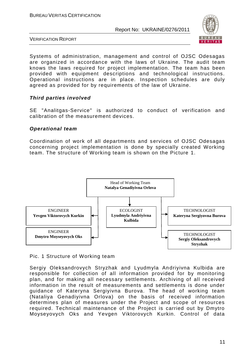

VERIFICATION REPORT

Systems of administration, management and control of OJSC Odesagas are organized in accordance with the laws of Ukraine. The audit team knows the laws required for project implementation. The team has been provided with equipment descriptions and technological instructions. Operational instructions are in place. Inspection schedules are duly agreed as provided for by requirements of the law of Ukraine.

#### *Third parties involved*

SE "Analitgas-Service" is authorized to conduct of verification and calibration of the measurement devices.

#### *Operational team*

Coordination of work of all departments and services of OJSC Odesagas concerning project implementation is done by specially created Working team. The structure of Working team is shown on the Picture 1.



Pic. 1 Structure of Working team

Sergiy Oleksandrovych Stryzhak and Lyudmyla Andriyivna Kulbida are responsible for collection of all information provided for by monitoring plan, and for making all necessary settlements. Archiving of all received information in the result of measurements and settlements is done under guidance of Kateryna Sergiyivna Burova. The head of working team (Nataliya Genadiyivna Orlova) on the basis of received information determines plan of measures under the Project and scope of resources required. Technical maintenance of the Project is carried out by Dmytro Moyseyovych Oks and Yevgen Viktorovych Kurkin. Control of data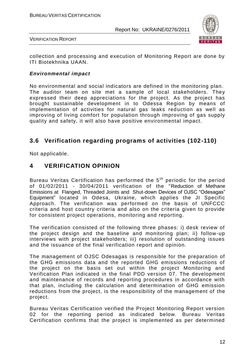

VERIFICATION REPORT

collection and processing and execution of Monitoring Report are done by ITI Biotekhnika UAAN.

#### *Environmental impact*

No environmental and social indicators are defined in the monitoring plan. The auditor team on site met a sample of local stakeholders. They expressed their deep appreciations for the project. As the project has brought sustainable development in to Odessa Region by means of implementation of activities for natural gas leaks reduction as well as improving of living comfort for population through improving of gas supply quality and safety, it will also have positive environmental impact.

## **3.6 Verification regarding programs of activities (102-110)**

Not applicable.

#### **4 VERIFICATION OPINION**

Bureau Veritas Certification has performed the 5<sup>th</sup> periodic for the period of 01/02/2011 - 30/04/2011 verification of the "Reduction of Methane Emissions at Flanged, Threaded Joints and Shut-down Devices of OJSC "Odesagas" Equipment" located in Odesa, Ukraine, which applies the JI Specific Approach. The verification was performed on the basis of UNFCCC criteria and host country criteria and also on the criteria given to provide for consistent project operations, monitoring and reporting.

The verification consisted of the following three phases: i) desk review of the project design and the baseline and monitoring plan; ii) follow -up interviews with project stakeholders; iii) resolution of outstanding issues and the issuance of the final verification report and opinion.

The management of OJSC Odesagas is responsible for the preparation of the GHG emissions data and the reported GHG emissions reductions of the project on the basis set out within the project Monitoring and Verification Plan indicated in the final PDD version 07. The development and maintenance of records and reporting procedures in accordance with that plan, including the calculation and determination of GHG emission reductions from the project, is the responsibility of the management of the project.

Bureau Veritas Certification verified the Project Monitoring Report version 02 for the reporting period as indicated below. Bureau Veritas Certification confirms that the project is implemented as per determined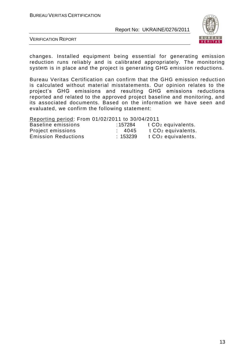

VERIFICATION REPORT

changes. Installed equipment being essential for generating emission reduction runs reliably and is calibrated appropriately. The monitoring system is in place and the project is generating GHG emission reductions.

Bureau Veritas Certification can confirm that the GHG emission reduction is calculated without material misstatements. Our opinion relates to the project"s GHG emissions and resulting GHG emissions reductions reported and related to the approved project baseline and monitoring, and its associated documents. Based on the information we have seen and evaluated, we confirm the following statement:

Reporting period: From 01/02/2011 to 30/04/2011

| Baseline emissions         | : 157284 | t CO <sub>2</sub> equivalents. |
|----------------------------|----------|--------------------------------|
| Project emissions          | : 4045   | t CO <sub>2</sub> equivalents. |
| <b>Emission Reductions</b> | : 153239 | t CO <sub>2</sub> equivalents. |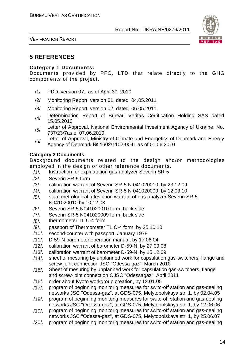

VERIFICATION REPORT

# **5 REFERENCES**

#### **Category 1 Documents:**

Documents provided by PFC, LTD that relate directly to the GHG components of the project.

- /1/ PDD, version 07, as of April 30, 2010
- /2/ Monitoring Report, version 01, dated 04.05.2011
- /3/ Monitoring Report, version 02, dated 06.05.2011
- /4/ Determination Report of Bureau Veritas Certification Holding SAS dated 15.05.2010
- /5/ Letter of Approval, National Environmental Investment Agency of Ukraine, No. 737/23/7as of 07.06.2010.
- /6/ Letter of Approval, Ministry of Climate and Energetics of Denmark and Energy Agency of Denmark № 1602/1102-0041 as of 01.06.2010

#### **Category 2 Documents:**

Background documents related to the design and/or methodologies employed in the design or other reference documents.

- /1/. Instruction for expluatation gas-analyzer Severin SR-5
- /2/. Severin SR-5 form
- /3/. calibration warrant of Severin SR-5 N 041020010, by 23.12.09
- /4/. calibration warrant of Severin SR-5 N 041020009, by 12.03.10
- /5/. state metrological attestation warrant of gas-analyzer Severin SR-5 N041020010 by 10.12.08
- /6/. Severin SR-5 N041020010 form, back side
- /7/. Severin SR-5 N041020009 form, back side
- /8/. thermometer TL C-4 form
- /9/. passport of Thermometer TL C-4 form, by 25.10.10
- /10/. second-counter with passport, January 1978
- /11/. D-59-N barometer operation manual, by 17.06.04
- /12/. calibration warrant of barometer D-59-N, by 27.09.08
- /13/. calibration warrant of barometer D-59-N, by 15.12.09
- /14/. sheet of mesuring by unplanned work for capsulation gas-switchers, flange and screw-joint connection JSC "Odessa-gaz", March 2010
- /15/. Sheet of mesuring by unplanned work for capsulation gas-switchers, flange and screw-joint connection OJSC "Odessagaz", April 2011
- /16/. order about Kyoto workgroup creation, by 12.01.05
- /17/. program of beginning monitorig measures for switc-off station and gas-dealing networks JSC "Odessa-gaz", at GDS-075, Melytopolskaya str. 1, by 02.04.05
- /18/. program of beginning monitorig measures for switc-off station and gas-dealing networks JSC "Odessa-gaz", at GDS-075, Melytopolskaya str. 1, by 12.06.06
- /19/. program of beginning monitorig measures for switc-off station and gas-dealing networks JSC "Odessa-gaz", at GDS-075, Melytopolskaya str. 1, by 25.06.07
- /20/. program of beginning monitorig measures for switc-off station and gas-dealing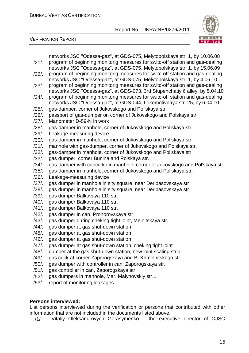

VERIFICATION REPORT

| $/21/$ . | networks JSC "Odessa-gaz", at GDS-075, Melytopolskaya str. 1, by 10.06.08<br>program of beginning monitorig measures for switc-off station and gas-dealing<br>networks JSC "Odessa-gaz", at GDS-075, Melytopolskaya str. 1, by 15.06.09 |
|----------|-----------------------------------------------------------------------------------------------------------------------------------------------------------------------------------------------------------------------------------------|
| $/22/$ . | program of beginning monitorig measures for switc-off station and gas-dealing<br>networks JSC "Odessa-gaz", at GDS-075, Melytopolskaya str. 1, by 4.06.10                                                                               |
| $/23/$ . | program of beginning monitorig measures for switc-off station and gas-dealing<br>networks JSC "Odessa-gaz", at GDS-073, 3rd Stupenchatiy 6 alley, by 5.04.10                                                                            |
| $/24/$ . | program of beginning monitorig measures for switc-off station and gas-dealing<br>networks JSC "Odessa-gaz", at GDS-044, Lokomotivnaya str. 25, by 6.04.10                                                                               |
| $/25/$ . | gas-damper, corner of Jukovskogo and Pol'skaya str.                                                                                                                                                                                     |
| $/26/$ . | passport of gas-dumper on corner of Jukovskogo and Polskaya str.                                                                                                                                                                        |
| $/27/$ . | Manometer D-59-N in work                                                                                                                                                                                                                |
| $/28/$ . | gas-damper in manhole, corner of Jukovskogo and Pol'skaya str.                                                                                                                                                                          |
| $/29/$ . | Leakage-measuring device                                                                                                                                                                                                                |
| $/30/$ . | gas-damper in manhole, corner of Jukovskogo and Pol'skaya str.                                                                                                                                                                          |
| $/31/$ . | manhole with gas-dumper, corner of Jukovskogo and Polskaya str.                                                                                                                                                                         |
| $/32/$ . | gas-damper in manhole, corner of Jukovskogo and Pol'skaya str.                                                                                                                                                                          |
| $/33/$ . | gas dumper, corner Bunina and Polskaya str.                                                                                                                                                                                             |
| $/34/$ . | gas-damper with canceller in manhole, corner of Jukovskogo and Pol'skaya str.                                                                                                                                                           |
| $/35/$ . | gas-damper in manhole, corner of Jukovskogo and Pol'skaya str.                                                                                                                                                                          |
| $/36/$ . | Leakage-measuring device                                                                                                                                                                                                                |
| $/37/$ . | gas dumper in manhole in sity square, near Deribasovskaya str                                                                                                                                                                           |
| $/38/$ . | gas dumper in manhole in sity square, near Deribasovskaya str                                                                                                                                                                           |
| $/39/$ . | gas dumper Balkovaya 110 str.                                                                                                                                                                                                           |
| $/40/$ . | gas dumper Balkovaya 110 str.                                                                                                                                                                                                           |
| $/41/$ . | gas dumper Balkovaya 110 str.                                                                                                                                                                                                           |
| $/42/$ . | gas dumper in can, Prohorovskaya str.                                                                                                                                                                                                   |
| $/43/$ . | gas dumper during cheking tight joint, Melnitskaya str.                                                                                                                                                                                 |
| $/44/$ . | gas dumper at gas shut-down station                                                                                                                                                                                                     |
| /45/.    | gas dumper at gas shut-down station                                                                                                                                                                                                     |
| /46/.    | gas dumper at gas shut-down station                                                                                                                                                                                                     |
| /47/.    | gas dumper at gas shut-down station, cheking tight joint                                                                                                                                                                                |
| /48/.    | dumper at the gas shut-down station, new joint scaling strip                                                                                                                                                                            |
| /49/.    | gas cock at corner Zaporogskaya and B. Khmelnitskogo str.                                                                                                                                                                               |
| $/50/$ . | gas dumper with controller in can, Zaporogskaya str.                                                                                                                                                                                    |
| $/51/$ . | gas controller in can, Zaporogskaya str.                                                                                                                                                                                                |
| $/52/$ . | gas dumpers in manhole, Mar. Malynovskiy str.1                                                                                                                                                                                          |
| $/53/$ . | report of monitoring leakages                                                                                                                                                                                                           |
|          |                                                                                                                                                                                                                                         |
|          | <b>Persons interviewed:</b>                                                                                                                                                                                                             |

List persons interviewed during the verification or persons that contributed with other information that are not included in the documents listed above.

/1/ Vitaliy Oleksandrovych Gerasymenko – the executive director of OJSC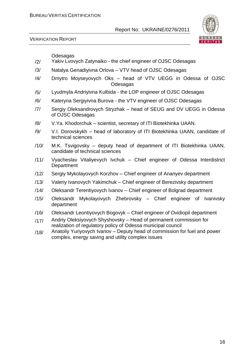

VERIFICATION REPORT

Odesagas

- /2/ Yakiv Lvovych Zatynaiko the chief engineer of OJSC Odesagas
- /3/ Natalya Genadiyivna Orlova VTV head of OJSC Odesagas
- /4/ Dmytro Moyseyovych Oks head of VTV UEGG in Odessa of OJSC Odesagas
- /5/ Lyudmyla Andriyivna Kulbida the LOP engineer of OJSC Odesagas
- /6/ Kateryna Sergiyivna Burova the VTV engineer of OJSC Odesagas
- /7/ Sergiy Oleksandrovych Stryzhak head of SEUG and DV UEGG in Odessa of OJSC Odesagas
- /8/ V.Ya. Khodorchuk scientist, secretary of ITI Biotekhinka UAAN.
- /9/ V.I. Dorovskykh head of laboratory of ITI Biotekhinka UAAN, candidate of technical sciences
- /10/ M.K. Tsvigovsky deputy head of department of ITI Biotekhinka UAAN, candidate of technical sciences
- /11/ Vyacheslav Vitaliyevych Ivchuk Chief engineer of Odessa Interdistrict **Department**
- /12/ Sergiy Mykolayovych Korzhov Chief engineer of Ananyev department
- /13/ Valeriy Ivanovych Yakimchuk Chief engineer of Berezivsky department
- /14/ Oleksandr Terentiyovych Ivanov Chief engineer of Bolgrad department
- /15/ Oleksandr Mykolayovych Zhebrovsky Chief engineer of Ivanivsky department
- /16/ Oleksandr Leontiyovych Bogovyk Chief engineer of Ovidiopil department
- $/17/$  Andriy Oleksiyovych Shyshovsky Head of permanent commission for realization of regulatory policy of Odessa municipal council
- $/18/$  Anatoliy Yuriyovych Ivanov Deputy head of commission for fuel and power complex, energy saving and utility complex issues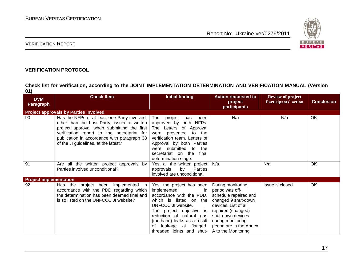

#### VERIFICATION REPORT

#### **VERIFICATION PROTOCOL**

**Check list for verification, according to the JOINT IMPLEMENTATION DETERMINATION AND VERIFICATION MANUAL (Version 01)**

| <b>DVM</b><br><b>Paragraph</b> | <b>Check Item</b>                                                                                                                                                                                                                                                              | <b>Initial finding</b>                                                                                                                                                                                                                                                          | <b>Action requested to</b><br>project<br>participants                                                                                                                                                                          | <b>Review of project</b><br>Participants' action | <b>Conclusion</b> |
|--------------------------------|--------------------------------------------------------------------------------------------------------------------------------------------------------------------------------------------------------------------------------------------------------------------------------|---------------------------------------------------------------------------------------------------------------------------------------------------------------------------------------------------------------------------------------------------------------------------------|--------------------------------------------------------------------------------------------------------------------------------------------------------------------------------------------------------------------------------|--------------------------------------------------|-------------------|
|                                | <b>Project approvals by Parties involved</b>                                                                                                                                                                                                                                   |                                                                                                                                                                                                                                                                                 |                                                                                                                                                                                                                                |                                                  |                   |
| 90                             | Has the NFPs of at least one Party involved,<br>other than the host Party, issued a written<br>project approval when submitting the first<br>verification report to the secretariat for<br>publication in accordance with paragraph 38<br>of the JI guidelines, at the latest? | The project<br>has<br>been<br>approved by both NFPs.<br>The Letters of Approval<br>were presented<br>to the<br>verification team. Letters of<br>Approval by both Parties<br>were submitted to<br>the<br>secretariat on the<br>final<br>determination stage.                     | N/a                                                                                                                                                                                                                            | N/a                                              | OK.               |
| 91                             | Are all the written project approvals by<br>Parties involved unconditional?                                                                                                                                                                                                    | Yes, all the written project<br>approvals<br>by<br>Parties<br>involved are unconditional.                                                                                                                                                                                       | N/a                                                                                                                                                                                                                            | N/a                                              | OK                |
| <b>Project implementation</b>  |                                                                                                                                                                                                                                                                                |                                                                                                                                                                                                                                                                                 |                                                                                                                                                                                                                                |                                                  |                   |
| 92                             | project been implemented in<br>Has the<br>accordance with the PDD regarding which<br>the determination has been deemed final and<br>is so listed on the UNFCCC JI website?                                                                                                     | Yes, the project has been<br>implemented<br>in.<br>accordance with the PDD,<br>which is<br>listed on the<br>UNFCCC JI website.<br>The project objective is<br>reduction of natural gas<br>(methane) leaks as a result<br>leakage at flanged,<br>of<br>threaded joints and shut- | During monitoring<br>period was off-<br>schedule repaired and<br>changed 9 shut-down<br>devices. List of all<br>repaired (changed)<br>shut-down devices<br>during monitoring<br>period are in the Annex<br>A to the Monitoring | Issue is closed.                                 | OK                |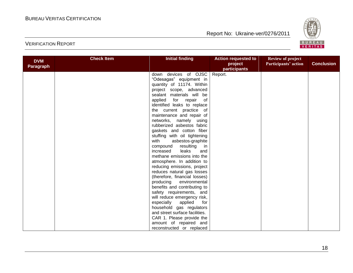

| <b>DVM</b><br><b>Paragraph</b> | <b>Check Item</b> | <b>Initial finding</b>           | <b>Action requested to</b><br>project<br>participants | <b>Review of project</b><br>Participants' action | <b>Conclusion</b> |
|--------------------------------|-------------------|----------------------------------|-------------------------------------------------------|--------------------------------------------------|-------------------|
|                                |                   | down devices of OJSC             | Report.                                               |                                                  |                   |
|                                |                   | "Odesagas" equipment in          |                                                       |                                                  |                   |
|                                |                   | quantity of 11174. Within        |                                                       |                                                  |                   |
|                                |                   | project scope, advanced          |                                                       |                                                  |                   |
|                                |                   | sealant materials will be        |                                                       |                                                  |                   |
|                                |                   | applied for repair<br>$\circ$ of |                                                       |                                                  |                   |
|                                |                   | identified leaks to replace      |                                                       |                                                  |                   |
|                                |                   | the current practice of          |                                                       |                                                  |                   |
|                                |                   | maintenance and repair of        |                                                       |                                                  |                   |
|                                |                   | networks, namely using           |                                                       |                                                  |                   |
|                                |                   | rubberized asbestos fabric       |                                                       |                                                  |                   |
|                                |                   | gaskets and cotton fiber         |                                                       |                                                  |                   |
|                                |                   | stuffing with oil tightening     |                                                       |                                                  |                   |
|                                |                   | with<br>asbestos-graphite        |                                                       |                                                  |                   |
|                                |                   | resulting in<br>compound         |                                                       |                                                  |                   |
|                                |                   | leaks<br>increased<br>and        |                                                       |                                                  |                   |
|                                |                   | methane emissions into the       |                                                       |                                                  |                   |
|                                |                   | atmosphere. In addition to       |                                                       |                                                  |                   |
|                                |                   | reducing emissions, project      |                                                       |                                                  |                   |
|                                |                   | reduces natural gas losses       |                                                       |                                                  |                   |
|                                |                   | (therefore, financial losses)    |                                                       |                                                  |                   |
|                                |                   | producing<br>environmental       |                                                       |                                                  |                   |
|                                |                   | benefits and contributing to     |                                                       |                                                  |                   |
|                                |                   | safety requirements, and         |                                                       |                                                  |                   |
|                                |                   | will reduce emergency risk,      |                                                       |                                                  |                   |
|                                |                   | especially applied<br>for        |                                                       |                                                  |                   |
|                                |                   | household gas regulators         |                                                       |                                                  |                   |
|                                |                   | and street surface facilities.   |                                                       |                                                  |                   |
|                                |                   | CAR 1. Please provide the        |                                                       |                                                  |                   |
|                                |                   | amount of repaired and           |                                                       |                                                  |                   |
|                                |                   | reconstructed or replaced        |                                                       |                                                  |                   |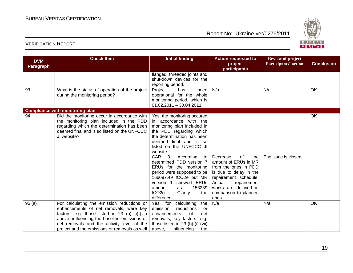

| <b>DVM</b><br><b>Paragraph</b> | <b>Check Item</b>                                                                                                                                                                                                                    | <b>Initial finding</b>                                                                                                                                                                                                                                                                                                                                                                                                                                                                   | <b>Action requested to</b><br>project<br>participants                                                                                                                                                       | <b>Review of project</b><br>Participants' action | <b>Conclusion</b> |
|--------------------------------|--------------------------------------------------------------------------------------------------------------------------------------------------------------------------------------------------------------------------------------|------------------------------------------------------------------------------------------------------------------------------------------------------------------------------------------------------------------------------------------------------------------------------------------------------------------------------------------------------------------------------------------------------------------------------------------------------------------------------------------|-------------------------------------------------------------------------------------------------------------------------------------------------------------------------------------------------------------|--------------------------------------------------|-------------------|
|                                |                                                                                                                                                                                                                                      | flanged, threaded joints and<br>shut-down devices for the<br>reporting period.                                                                                                                                                                                                                                                                                                                                                                                                           |                                                                                                                                                                                                             |                                                  |                   |
| 93                             | What is the status of operation of the project<br>during the monitoring period?                                                                                                                                                      | Project<br>been<br>has<br>operational for the whole<br>monitoring period, which is<br>$01.02.2011 - 30.04.2011.$                                                                                                                                                                                                                                                                                                                                                                         | N/a                                                                                                                                                                                                         | N/a                                              | OK                |
|                                | <b>Compliance with monitoring plan</b>                                                                                                                                                                                               |                                                                                                                                                                                                                                                                                                                                                                                                                                                                                          |                                                                                                                                                                                                             |                                                  |                   |
| 94                             | Did the monitoring occur in accordance with<br>the monitoring plan included in the PDD<br>regarding which the determination has been<br>deemed final and is so listed on the UNFCCC<br>JI website?                                   | Yes, the monitoring occured<br>in accordance with the<br>monitoring plan included in<br>the PDD regarding which<br>the determination has been<br>deemed final and is so<br>listed on the UNFCCC JI<br>website.<br>CAR <sub>3</sub> .<br>According<br>to l<br>determined PDD version 7<br>ERUs for the monitoring<br>period were supposed to be  <br>166097,49 tCO2e but MR<br>showed ERUs<br>version 1<br>153239<br>amount<br>as<br>tCO <sub>2</sub> e.<br>Clarify<br>the<br>difference. | 0f<br>the<br>Decrease<br>amount of ERUs in MR<br>from the ones in PDD<br>is due to delay in the<br>repairement schedule.<br>Actual<br>repairement<br>works are delayed in<br>comparison to planned<br>ones. | The issue is closed.                             | <b>OK</b>         |
| 95(a)                          | For calculating the emission reductions or<br>enhancements of net removals, were key<br>factors, e.g. those listed in 23 (b) (i)-(vii)<br>above, influencing the baseline emissions or<br>net removals and the activity level of the | the<br>calculating<br>Yes, for<br>emission<br>reductions<br>or<br>enhancements<br>of<br>net<br>removals, key factors, e.g.<br>those listed in 23 (b) (i)-(vii)                                                                                                                                                                                                                                                                                                                           | N/a                                                                                                                                                                                                         | N/a                                              | OK                |
|                                | project and the emissions or removals as well                                                                                                                                                                                        | above, influencing<br>the                                                                                                                                                                                                                                                                                                                                                                                                                                                                |                                                                                                                                                                                                             |                                                  |                   |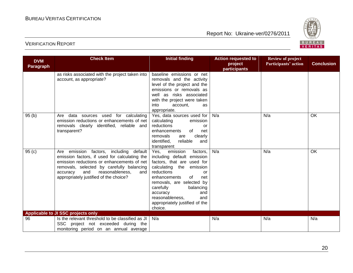

| <b>DVM</b>       | <b>Check Item</b>                                                                                                                                                                                                                                                                | <b>Initial finding</b>                                                                                                                                                                                                                                                                                                 | <b>Action requested to</b> | <b>Review of project</b> |                   |
|------------------|----------------------------------------------------------------------------------------------------------------------------------------------------------------------------------------------------------------------------------------------------------------------------------|------------------------------------------------------------------------------------------------------------------------------------------------------------------------------------------------------------------------------------------------------------------------------------------------------------------------|----------------------------|--------------------------|-------------------|
| <b>Paragraph</b> |                                                                                                                                                                                                                                                                                  |                                                                                                                                                                                                                                                                                                                        | project<br>participants    | Participants' action     | <b>Conclusion</b> |
|                  | as risks associated with the project taken into<br>account, as appropriate?                                                                                                                                                                                                      | baseline emissions or net<br>removals and the activity<br>level of the project and the<br>emissions or removals as<br>well as risks associated<br>with the project were taken<br>into<br>account,<br>as<br>appropriate.                                                                                                |                            |                          |                   |
| 95(b)            | data sources used for calculating<br>Are<br>emission reductions or enhancements of net<br>removals clearly identified, reliable and<br>transparent?                                                                                                                              | Yes, data sources used for<br>calculating<br>emission<br>reductions<br>or<br>of<br>enhancements<br>net<br>removals<br>clearly<br>are<br>identified,<br>reliable<br>and<br>transparent                                                                                                                                  | N/a                        | N/a                      | OK                |
| 95(c)            | emission factors, including<br>default<br>Are<br>emission factors, if used for calculating the<br>emission reductions or enhancements of net<br>removals, selected by carefully balancing<br>accuracy<br>and<br>reasonableness,<br>and<br>appropriately justified of the choice? | Yes, emission<br>factors,<br>including default emission<br>factors, that are used for<br>calculating the<br>emission<br>reductions<br>or<br>enhancements<br>0f<br>net<br>removals, are selected by<br>carefully<br>balancing<br>accuracy<br>and<br>reasonableness,<br>and<br>appropriately justified of the<br>choice. | N/a                        | N/a                      | OK                |
|                  | Applicable to JI SSC projects only                                                                                                                                                                                                                                               |                                                                                                                                                                                                                                                                                                                        |                            |                          |                   |
| 96               | Is the relevant threshold to be classified as JI<br>SSC project not exceeded during the<br>monitoring period on an annual average                                                                                                                                                | N/a                                                                                                                                                                                                                                                                                                                    | N/a                        | N/a                      | N/a               |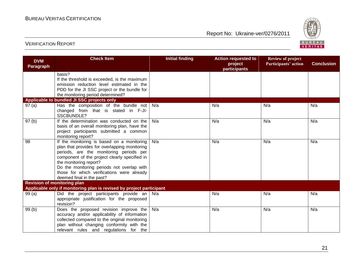

| <b>DVM</b><br><b>Paragraph</b> | <b>Check Item</b>                                                                         | <b>Initial finding</b> | <b>Action requested to</b><br>project | <b>Review of project</b><br>Participants' action | <b>Conclusion</b> |
|--------------------------------|-------------------------------------------------------------------------------------------|------------------------|---------------------------------------|--------------------------------------------------|-------------------|
|                                |                                                                                           |                        | participants                          |                                                  |                   |
|                                | basis?                                                                                    |                        |                                       |                                                  |                   |
|                                | If the threshold is exceeded, is the maximum<br>emission reduction level estimated in the |                        |                                       |                                                  |                   |
|                                | PDD for the JI SSC project or the bundle for                                              |                        |                                       |                                                  |                   |
|                                | the monitoring period determined?                                                         |                        |                                       |                                                  |                   |
|                                | Applicable to bundled JI SSC projects only                                                |                        |                                       |                                                  |                   |
| 97(a)                          | Has the composition of the bundle not $\vert$ N/a                                         |                        | N/a                                   | N/a                                              | N/a               |
|                                | changed from that is stated in F-JI-                                                      |                        |                                       |                                                  |                   |
|                                | SSCBUNDLE?                                                                                |                        |                                       |                                                  |                   |
| 97(b)                          | If the determination was conducted on the                                                 | N/a                    | N/a                                   | N/a                                              | N/a               |
|                                | basis of an overall monitoring plan, have the                                             |                        |                                       |                                                  |                   |
|                                | project participants submitted a common                                                   |                        |                                       |                                                  |                   |
|                                | monitoring report?                                                                        |                        |                                       |                                                  |                   |
| 98                             | If the monitoring is based on a monitoring                                                | N/a                    | N/a                                   | N/a                                              | N/a               |
|                                | plan that provides for overlapping monitoring                                             |                        |                                       |                                                  |                   |
|                                | periods, are the monitoring periods per                                                   |                        |                                       |                                                  |                   |
|                                | component of the project clearly specified in<br>the monitoring report?                   |                        |                                       |                                                  |                   |
|                                | Do the monitoring periods not overlap with                                                |                        |                                       |                                                  |                   |
|                                | those for which verifications were already                                                |                        |                                       |                                                  |                   |
|                                | deemed final in the past?                                                                 |                        |                                       |                                                  |                   |
|                                | <b>Revision of monitoring plan</b>                                                        |                        |                                       |                                                  |                   |
|                                | Applicable only if monitoring plan is revised by project participant                      |                        |                                       |                                                  |                   |
| 99(a)                          | Did the project participants provide an $\vert$ N/a                                       |                        | N/a                                   | N/a                                              | N/a               |
|                                | appropriate justification for the proposed                                                |                        |                                       |                                                  |                   |
|                                | revision?                                                                                 |                        |                                       |                                                  |                   |
| 99(b)                          | Does the proposed revision improve the                                                    | N/a                    | N/a                                   | N/a                                              | N/a               |
|                                | accuracy and/or applicability of information                                              |                        |                                       |                                                  |                   |
|                                | collected compared to the original monitoring                                             |                        |                                       |                                                  |                   |
|                                | plan without changing conformity with the                                                 |                        |                                       |                                                  |                   |
|                                | relevant rules and regulations for the                                                    |                        |                                       |                                                  |                   |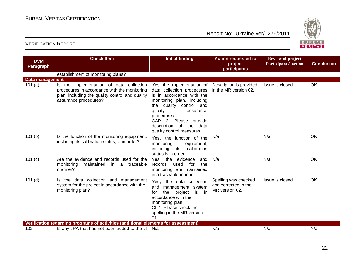

| <b>DVM</b><br><b>Paragraph</b> | <b>Check Item</b>                                                                                                                                                    | <b>Initial finding</b>                                                                                                                                                                                                                                                 | <b>Action requested to</b><br>project<br>participants          | <b>Review of project</b><br>Participants' action | <b>Conclusion</b> |
|--------------------------------|----------------------------------------------------------------------------------------------------------------------------------------------------------------------|------------------------------------------------------------------------------------------------------------------------------------------------------------------------------------------------------------------------------------------------------------------------|----------------------------------------------------------------|--------------------------------------------------|-------------------|
|                                | establishment of monitoring plans?                                                                                                                                   |                                                                                                                                                                                                                                                                        |                                                                |                                                  |                   |
| <b>Data management</b>         |                                                                                                                                                                      |                                                                                                                                                                                                                                                                        |                                                                |                                                  |                   |
| 101(a)                         | Is the implementation of data collection<br>procedures in accordance with the monitoring<br>plan, including the quality control and quality<br>assurance procedures? | Yes, the implementation of<br>data collection procedures<br>is in accordance with the<br>monitoring plan, including<br>the quality control and<br>quality<br>assurance<br>procedures.<br>CAR 2. Please provide<br>description of the data<br>quality control measures. | Description is provided<br>in the MR version 02.               | Issue is closed.                                 | OK                |
| 101(b)                         | Is the function of the monitoring equipment,<br>including its calibration status, is in order?                                                                       | Yes, the function of the<br>monitoring<br>equipment,<br>including its<br>calibration<br>status is in order.                                                                                                                                                            | N/a                                                            | N/a                                              | OK                |
| 101(c)                         | Are the evidence and records used for the<br>maintained<br>monitoring<br>in.<br>a traceable<br>manner?                                                               | Yes, the evidence<br>and<br>for<br>the<br>records<br>used<br>monitoring are maintained<br>in a traceable manner                                                                                                                                                        | N/a                                                            | N/a                                              | OK                |
| 101(d)                         | Is the data collection and management<br>system for the project in accordance with the<br>monitoring plan?                                                           | Yes, the data collection<br>and management system<br>the<br>$\overline{\mathsf{in}}$<br>is<br>for<br>project<br>accordance with the<br>monitoring plan.<br>CL 1. Please check the<br>spelling in the MR version<br>01                                                  | Spelling was checked<br>and corrected in the<br>MR version 02. | Issue is closed.                                 | OK                |
|                                | Verification regarding programs of activities (additional elements for assessment)                                                                                   |                                                                                                                                                                                                                                                                        |                                                                |                                                  |                   |
| 102                            | Is any JPA that has not been added to the JI $\mid$ N/a                                                                                                              |                                                                                                                                                                                                                                                                        | N/a                                                            | N/a                                              | N/a               |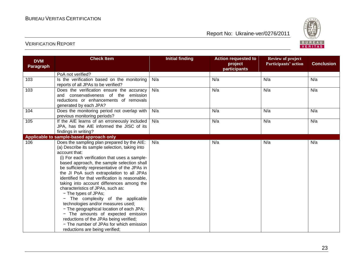

| <b>DVM</b>                               | <b>Check Item</b>                                                           | <b>Initial finding</b> | <b>Action requested to</b> | <b>Review of project</b> |                   |  |  |
|------------------------------------------|-----------------------------------------------------------------------------|------------------------|----------------------------|--------------------------|-------------------|--|--|
| <b>Paragraph</b>                         |                                                                             |                        | project<br>participants    | Participants' action     | <b>Conclusion</b> |  |  |
|                                          | PoA not verified?                                                           |                        |                            |                          |                   |  |  |
| 103                                      | Is the verification based on the monitoring                                 | N/a                    | N/a                        | N/a                      | N/a               |  |  |
|                                          | reports of all JPAs to be verified?                                         |                        |                            |                          |                   |  |  |
| 103                                      | Does the verification ensure the accuracy                                   | N/a                    | N/a                        | N/a                      | N/a               |  |  |
|                                          | and conservativeness of the emission                                        |                        |                            |                          |                   |  |  |
|                                          | reductions or enhancements of removals                                      |                        |                            |                          |                   |  |  |
|                                          | generated by each JPA?                                                      |                        |                            |                          |                   |  |  |
| 104                                      | Does the monitoring period not overlap with<br>previous monitoring periods? | N/a                    | N/a                        | N/a                      | N/a               |  |  |
| 105                                      | If the AIE learns of an erroneously included                                | N/a                    | N/a                        | N/a                      | N/a               |  |  |
|                                          | JPA, has the AIE informed the JISC of its                                   |                        |                            |                          |                   |  |  |
|                                          | findings in writing?                                                        |                        |                            |                          |                   |  |  |
| Applicable to sample-based approach only |                                                                             |                        |                            |                          |                   |  |  |
| 106                                      | Does the sampling plan prepared by the AIE:                                 | N/a                    | N/a                        | N/a                      | N/a               |  |  |
|                                          | (a) Describe its sample selection, taking into                              |                        |                            |                          |                   |  |  |
|                                          | account that:                                                               |                        |                            |                          |                   |  |  |
|                                          | (i) For each verification that uses a sample-                               |                        |                            |                          |                   |  |  |
|                                          | based approach, the sample selection shall                                  |                        |                            |                          |                   |  |  |
|                                          | be sufficiently representative of the JPAs in                               |                        |                            |                          |                   |  |  |
|                                          | the JI PoA such extrapolation to all JPAs                                   |                        |                            |                          |                   |  |  |
|                                          | identified for that verification is reasonable,                             |                        |                            |                          |                   |  |  |
|                                          | taking into account differences among the                                   |                        |                            |                          |                   |  |  |
|                                          | characteristics of JPAs, such as:                                           |                        |                            |                          |                   |  |  |
|                                          | - The types of JPAs;                                                        |                        |                            |                          |                   |  |  |
|                                          | - The complexity of the applicable<br>technologies and/or measures used;    |                        |                            |                          |                   |  |  |
|                                          | - The geographical location of each JPA;                                    |                        |                            |                          |                   |  |  |
|                                          | - The amounts of expected emission                                          |                        |                            |                          |                   |  |  |
|                                          | reductions of the JPAs being verified;                                      |                        |                            |                          |                   |  |  |
|                                          | - The number of JPAs for which emission                                     |                        |                            |                          |                   |  |  |
|                                          | reductions are being verified;                                              |                        |                            |                          |                   |  |  |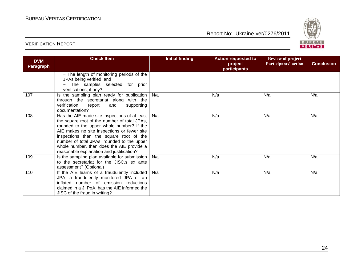

| <b>DVM</b><br><b>Paragraph</b> | <b>Check Item</b>                                                                                                                                                                                                                                                                                                                                                              | <b>Initial finding</b> | <b>Action requested to</b><br>project<br>participants | <b>Review of project</b><br>Participants' action | <b>Conclusion</b> |
|--------------------------------|--------------------------------------------------------------------------------------------------------------------------------------------------------------------------------------------------------------------------------------------------------------------------------------------------------------------------------------------------------------------------------|------------------------|-------------------------------------------------------|--------------------------------------------------|-------------------|
|                                | - The length of monitoring periods of the<br>JPAs being verified; and<br>The samples selected for prior<br>verifications, if any?                                                                                                                                                                                                                                              |                        |                                                       |                                                  |                   |
| 107                            | Is the sampling plan ready for publication<br>through the secretariat along with the<br>verification<br>report<br>and<br>supporting<br>documentation?                                                                                                                                                                                                                          | N/a                    | N/a                                                   | N/a                                              | N/a               |
| 108                            | Has the AIE made site inspections of at least  <br>the square root of the number of total JPAs,<br>rounded to the upper whole number? If the<br>AIE makes no site inspections or fewer site<br>inspections than the square root of the<br>number of total JPAs, rounded to the upper<br>whole number, then does the AIE provide a<br>reasonable explanation and justification? | N/a                    | N/a                                                   | N/a                                              | N/a               |
| 109                            | Is the sampling plan available for submission  <br>to the secretariat for the JISC.s ex ante<br>assessment? (Optional)                                                                                                                                                                                                                                                         | N/a                    | N/a                                                   | N/a                                              | N/a               |
| 110                            | If the AIE learns of a fraudulently included<br>JPA, a fraudulently monitored JPA or an<br>inflated number of emission reductions<br>claimed in a JI PoA, has the AIE informed the<br>JISC of the fraud in writing?                                                                                                                                                            | N/a                    | N/a                                                   | N/a                                              | N/a               |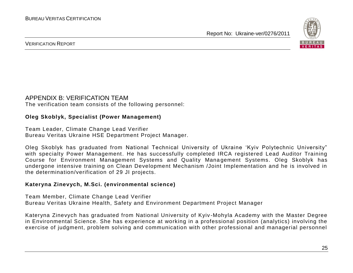

#### VERIFICATION REPORT

#### APPENDIX B: VERIFICATION TEAM

The verification team consists of the following personnel:

#### **Oleg Skoblyk, Specialist (Power Management)**

Team Leader, Climate Change Lead Verifier Bureau Veritas Ukraine HSE Department Project Manager.

Oleg Skoblyk has graduated from National Technical University of Ukraine "Kyiv Polytechnic University" with specialty Power Management. He has successfully completed IRCA registered Lead Auditor Training Course for Environment Management Systems and Quality Mana gement Systems. Oleg Skoblyk has undergone intensive training on Clean Development Mechanism /Joint Implementation and he is involved in the determination/verification of 29 JI projects.

#### **Kateryna Zinevych, M.Sci. (environmental science)**

Team Member, Climate Change Lead Verifier Bureau Veritas Ukraine Health, Safety and Environment Department Project Manager

Kateryna Zinevych has graduated from National University of Kyiv -Mohyla Academy with the Master Degree in Environmental Science. She has experience at working in a professional position (analytics) involving the exercise of judgment, problem solving and communication with other professional and managerial personnel